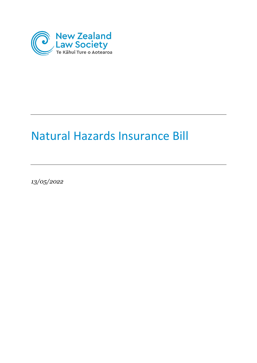

# Natural Hazards Insurance Bill

*13/05/2022*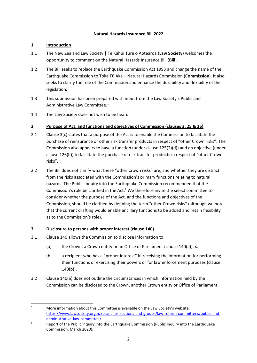#### **Natural Hazards Insurance Bill 2022**

### **1 Introduction**

- 1.1 The New Zealand Law Society | Te Kāhui Ture o Aotearoa (**Law Society**) welcomes the opportunity to comment on the Natural Hazards Insurance Bill (**Bill**).
- 1.2 The Bill seeks to replace the Earthquake Commission Act 1993 and change the name of the Earthquake Commission to Toka Tū Ake – Natural Hazards Commission (**Commission**). It also seeks to clarify the role of the Commission and enhance the durability and flexibility of the legislation.
- 1.3 This submission has been prepared with input from the Law Society's Public and Administrative Law Committee. 1
- 1.4 The Law Society does not wish to be heard.

## **2 Purpose of Act, and functions and objectives of Commission (clauses 3, 25 & 26)**

- 2.1 Clause 3(c) states that a purpose of the Act is to enable the Commission to facilitate the purchase of reinsurance or other risk transfer products in respect of "other Crown risks". The Commission also appears to have a function (under clause 125(2)(d)) and an objective (under clause 126(h)) to facilitate the purchase of risk transfer products in respect of "other Crown risks".
- 2.2 The Bill does not clarify what these "other Crown risks" are, and whether they are distinct from the risks associated with the Commission's primary functions relating to natural hazards. The Public Inquiry into the Earthquake Commission recommended that the Commission's role be clarified in the Act. $<sup>2</sup>$  We therefore invite the select committee to</sup> consider whether the purpose of the Act, and the functions and objectives of the Commission, should be clarified by defining the term "other Crown risks" (although we note that the current drafting would enable ancillary functions to be added and retain flexibility as to the Commission's role).

#### **3 Disclosure to persons with proper interest (clause 140)**

- 3.1 Clause 140 allows the Commission to disclose information to:
	- (a) the Crown, a Crown entity or an Office of Parliament (clause 140(a)), *or*
	- (b) a recipient who has a "proper interest" in receiving the information for performing their functions or exercising their powers or for law enforcement purposes (clause 140(b)).
- 3.2 Clause 140(a) does not outline the circumstances in which information held by the Commission can be disclosed to the Crown, another Crown entity or Office of Parliament.

<sup>&</sup>lt;sup>1</sup> More information about this Committee is available on the Law Society's website: [https://www.lawsociety.org.nz/branches-sections-and-groups/law-reform-committees/public-and](https://www.lawsociety.org.nz/branches-sections-and-groups/law-reform-committees/public-and-administrative-law-committee/)[administrative-law-committee/.](https://www.lawsociety.org.nz/branches-sections-and-groups/law-reform-committees/public-and-administrative-law-committee/)

<sup>&</sup>lt;sup>2</sup> Report of the Public Inquiry into the Earthquake Commission (Public Inquiry into the Earthquake Commission, March 2020).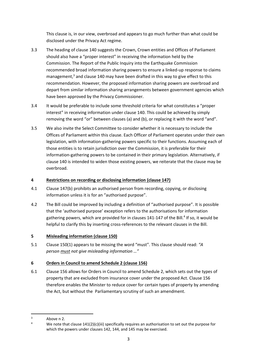This clause is, in our view, overbroad and appears to go much further than what could be disclosed under the Privacy Act regime.

- 3.3 The heading of clause 140 suggests the Crown, Crown entities and Offices of Parliament should also have a "proper interest" in receiving the information held by the Commission. The Report of the Public Inquiry into the Earthquake Commission recommended broad information sharing powers to ensure a linked-up response to claims management,<sup>3</sup> and clause 140 may have been drafted in this way to give effect to this recommendation. However, the proposed information sharing powers are overbroad and depart from similar information sharing arrangements between government agencies which have been approved by the Privacy Commissioner.
- 3.4 It would be preferable to include some threshold criteria for what constitutes a "proper interest" in receiving information under clause 140. This could be achieved by simply removing the word "or" between clauses (a) and (b), or replacing it with the word "and".
- 3.5 We also invite the Select Committee to consider whether it is necessary to include the Offices of Parliament within this clause. Each Officer of Parliament operates under their own legislation, with information-gathering powers specific to their functions. Assuming each of those entities is to retain jurisdiction over the Commission, it is preferable for their information-gathering powers to be contained in their primary legislation. Alternatively, if clause 140 is intended to widen those existing powers, we reiterate that the clause may be overbroad.

## **4 Restrictions on recording or disclosing information (clause 147)**

- 4.1 Clause 147(b) prohibits an authorised person from recording, copying, or disclosing information unless it is for an "authorised purpose".
- 4.2 The Bill could be improved by including a definition of "authorised purpose". It is possible that the 'authorised purpose' exception refers to the authorisations for information gathering powers, which are provided for in clauses 141-147 of the Bill.<sup>4</sup> If so, it would be helpful to clarify this by inserting cross-references to the relevant clauses in the Bill.

## **5 Misleading information (clause 150)**

5.1 Clause 150(1) appears to be missing the word "must". This clause should read: *"A person must not give misleading information …"*

## **6 Orders in Council to amend Schedule 2 (clause 156)**

6.1 Clause 156 allows for Orders in Council to amend Schedule 2, which sets out the types of property that are excluded from insurance cover under the proposed Act. Clause 156 therefore enables the Minister to reduce cover for certain types of property by amending the Act, but without the Parliamentary scrutiny of such an amendment.

 $3$  Above n 2.

We note that clause 141(2)(c)(iii) specifically requires an authorisation to set out the purpose for which the powers under clauses 142, 144, and 145 may be exercised.